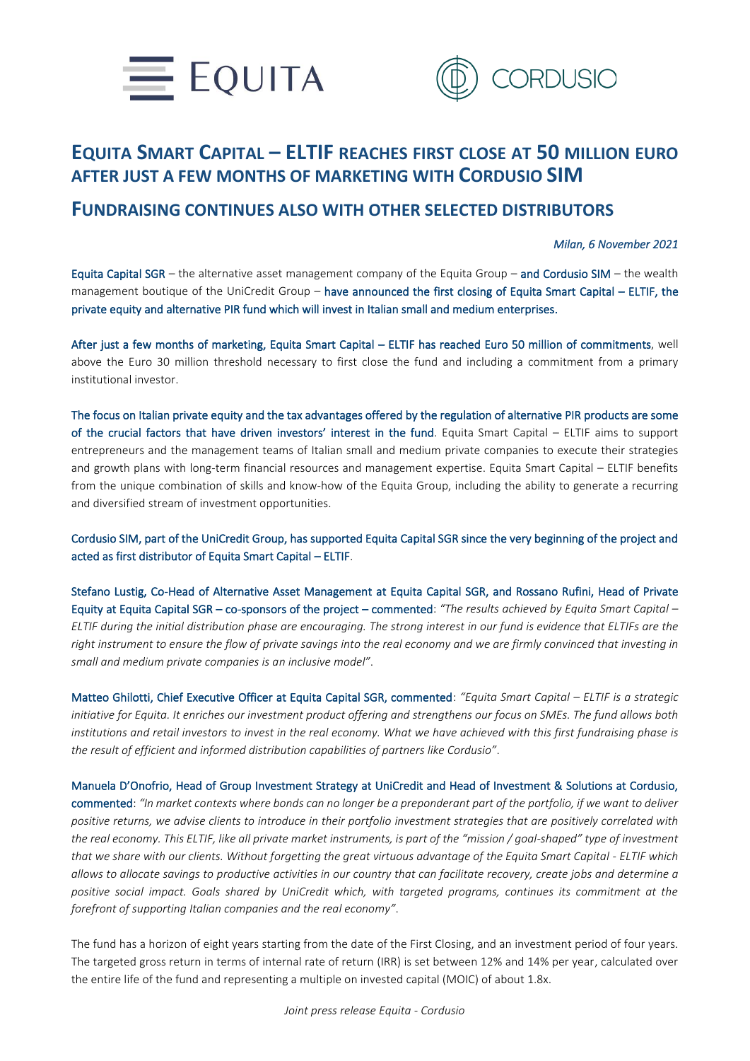



## **EQUITA SMART CAPITAL – ELTIF REACHES FIRST CLOSE AT 50 MILLION EURO AFTER JUST A FEW MONTHS OF MARKETING WITH CORDUSIO SIM**

## **FUNDRAISING CONTINUES ALSO WITH OTHER SELECTED DISTRIBUTORS**

## *Milan, 6 November 2021*

Equita Capital SGR – the alternative asset management company of the Equita Group – and Cordusio SIM – the wealth management boutique of the UniCredit Group – have announced the first closing of Equita Smart Capital – ELTIF, the private equity and alternative PIR fund which will invest in Italian small and medium enterprises.

After just a few months of marketing, Equita Smart Capital – ELTIF has reached Euro 50 million of commitments, well above the Euro 30 million threshold necessary to first close the fund and including a commitment from a primary institutional investor.

The focus on Italian private equity and the tax advantages offered by the regulation of alternative PIR products are some of the crucial factors that have driven investors' interest in the fund. Equita Smart Capital – ELTIF aims to support entrepreneurs and the management teams of Italian small and medium private companies to execute their strategies and growth plans with long-term financial resources and management expertise. Equita Smart Capital – ELTIF benefits from the unique combination of skills and know-how of the Equita Group, including the ability to generate a recurring and diversified stream of investment opportunities.

Cordusio SIM, part of the UniCredit Group, has supported Equita Capital SGR since the very beginning of the project and acted as first distributor of Equita Smart Capital – ELTIF.

Stefano Lustig, Co-Head of Alternative Asset Management at Equita Capital SGR, and Rossano Rufini, Head of Private Equity at Equita Capital SGR – co-sponsors of the project – commented: *"The results achieved by Equita Smart Capital – ELTIF during the initial distribution phase are encouraging. The strong interest in our fund is evidence that ELTIFs are the right instrument to ensure the flow of private savings into the real economy and we are firmly convinced that investing in small and medium private companies is an inclusive model"*.

Matteo Ghilotti, Chief Executive Officer at Equita Capital SGR, commented: *"Equita Smart Capital – ELTIF is a strategic initiative for Equita. It enriches our investment product offering and strengthens our focus on SMEs. The fund allows both*  institutions and retail investors to invest in the real economy. What we have achieved with this first fundraising phase is *the result of efficient and informed distribution capabilities of partners like Cordusio"*.

Manuela D'Onofrio, Head of Group Investment Strategy at UniCredit and Head of Investment & Solutions at Cordusio, commented: *"In market contexts where bonds can no longer be a preponderant part of the portfolio, if we want to deliver positive returns, we advise clients to introduce in their portfolio investment strategies that are positively correlated with the real economy. This ELTIF, like all private market instruments, is part of the "mission / goal-shaped" type of investment that we share with our clients. Without forgetting the great virtuous advantage of the Equita Smart Capital - ELTIF which allows to allocate savings to productive activities in our country that can facilitate recovery, create jobs and determine a positive social impact. Goals shared by UniCredit which, with targeted programs, continues its commitment at the forefront of supporting Italian companies and the real economy"*.

The fund has a horizon of eight years starting from the date of the First Closing, and an investment period of four years. The targeted gross return in terms of internal rate of return (IRR) is set between 12% and 14% per year, calculated over the entire life of the fund and representing a multiple on invested capital (MOIC) of about 1.8x.